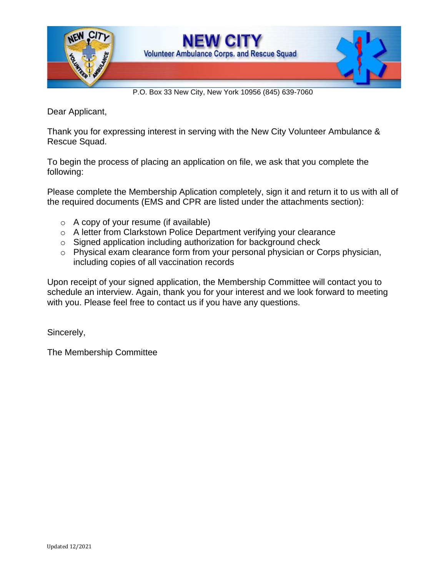

P.O. Box 33 New City, New York 10956 (845) 639-7060

Dear Applicant,

Thank you for expressing interest in serving with the New City Volunteer Ambulance & Rescue Squad.

To begin the process of placing an application on file, we ask that you complete the following:

Please complete the Membership Aplication completely, sign it and return it to us with all of the required documents (EMS and CPR are listed under the attachments section):

- $\circ$  A copy of your resume (if available)
- o A letter from Clarkstown Police Department verifying your clearance
- o Signed application including authorization for background check
- o Physical exam clearance form from your personal physician or Corps physician, including copies of all vaccination records

Upon receipt of your signed application, the Membership Committee will contact you to schedule an interview. Again, thank you for your interest and we look forward to meeting with you. Please feel free to contact us if you have any questions.

Sincerely,

The Membership Committee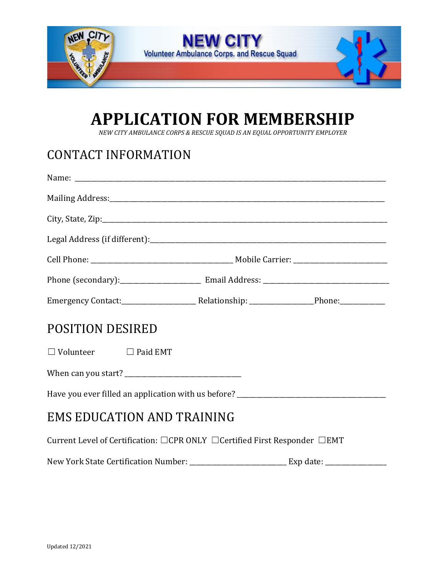

# **APPLICATION FOR MEMBERSHIP**

*NEW CITY AMBULANCE CORPS & RESCUE SQUAD IS AN EQUAL OPPORTUNITY EMPLOYER*

# CONTACT INFORMATION

| <b>POSITION DESIRED</b>                                                   |  |  |  |  |
|---------------------------------------------------------------------------|--|--|--|--|
| $\Box$ Volunteer $\Box$ Paid EMT                                          |  |  |  |  |
|                                                                           |  |  |  |  |
|                                                                           |  |  |  |  |
| <b>EMS EDUCATION AND TRAINING</b>                                         |  |  |  |  |
| Current Level of Certification: □CPR ONLY □Certified First Responder □EMT |  |  |  |  |
|                                                                           |  |  |  |  |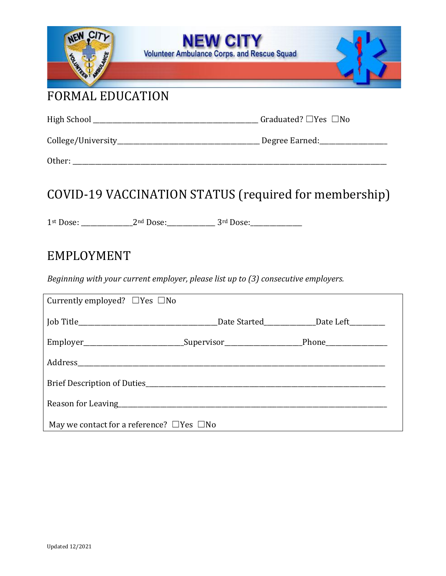| NEW CITY                                                                                            | V CITY<br><b>Volunteer Ambulance Corps. and Rescue Squad</b><br><u> 1989 - Andrea Stadt Stadt, skrivatsk politik (d. 1989)</u> |  |  |  |
|-----------------------------------------------------------------------------------------------------|--------------------------------------------------------------------------------------------------------------------------------|--|--|--|
| <b>FORMAL EDUCATION</b>                                                                             |                                                                                                                                |  |  |  |
|                                                                                                     |                                                                                                                                |  |  |  |
|                                                                                                     |                                                                                                                                |  |  |  |
|                                                                                                     |                                                                                                                                |  |  |  |
| COVID-19 VACCINATION STATUS (required for membership)                                               |                                                                                                                                |  |  |  |
| EMPLOYMENT                                                                                          |                                                                                                                                |  |  |  |
| Beginning with your current employer, please list up to (3) consecutive employers.                  |                                                                                                                                |  |  |  |
| Currently employed? $\Box$ Yes $\Box$ No                                                            |                                                                                                                                |  |  |  |
|                                                                                                     |                                                                                                                                |  |  |  |
| Employer_______________________________Supervisor_________________________Phone____________________ |                                                                                                                                |  |  |  |
|                                                                                                     |                                                                                                                                |  |  |  |
|                                                                                                     |                                                                                                                                |  |  |  |
|                                                                                                     |                                                                                                                                |  |  |  |
| May we contact for a reference? $\Box$ Yes $\Box$ No                                                |                                                                                                                                |  |  |  |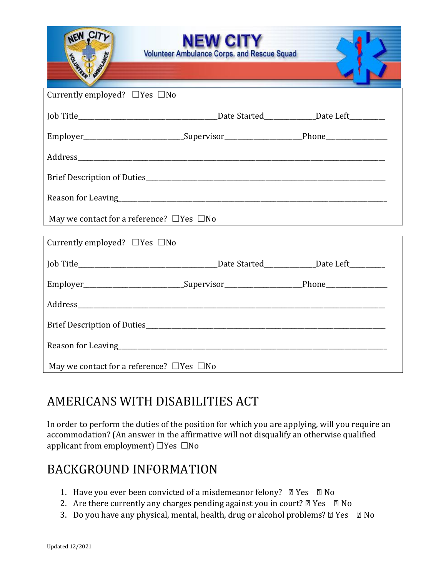| NEW CITY<br>Education of the Contractor              | <b>N CITY</b><br><b>Volunteer Ambulance Corps. and Rescue Squad</b>                                  |  |  |  |
|------------------------------------------------------|------------------------------------------------------------------------------------------------------|--|--|--|
| Currently employed? $\Box$ Yes $\Box$ No             |                                                                                                      |  |  |  |
|                                                      |                                                                                                      |  |  |  |
|                                                      | Employer_______________________________Supervisor_______________________________Phone_______________ |  |  |  |
|                                                      |                                                                                                      |  |  |  |
|                                                      |                                                                                                      |  |  |  |
|                                                      |                                                                                                      |  |  |  |
| May we contact for a reference? $\Box$ Yes $\Box$ No |                                                                                                      |  |  |  |
| Currently employed? $\Box$ Yes $\Box$ No             |                                                                                                      |  |  |  |
|                                                      |                                                                                                      |  |  |  |
|                                                      | Employer_______________________________Supervisor_______________________________Phone_______________ |  |  |  |
|                                                      |                                                                                                      |  |  |  |
|                                                      |                                                                                                      |  |  |  |
|                                                      |                                                                                                      |  |  |  |
| May we contact for a reference? $\Box$ Yes $\Box$ No |                                                                                                      |  |  |  |

## AMERICANS WITH DISABILITIES ACT

In order to perform the duties of the position for which you are applying, will you require an accommodation? (An answer in the affirmative will not disqualify an otherwise qualified applicant from employment) ☐Yes ☐No

#### BACKGROUND INFORMATION

- 1. Have you ever been convicted of a misdemeanor felony?  $\Box$  Yes  $\Box$  No
- 2. Are there currently any charges pending against you in court?  $\mathbb{Z}$  Yes  $\mathbb{Z}$  No
- 3. Do you have any physical, mental, health, drug or alcohol problems? 2 Yes 2 No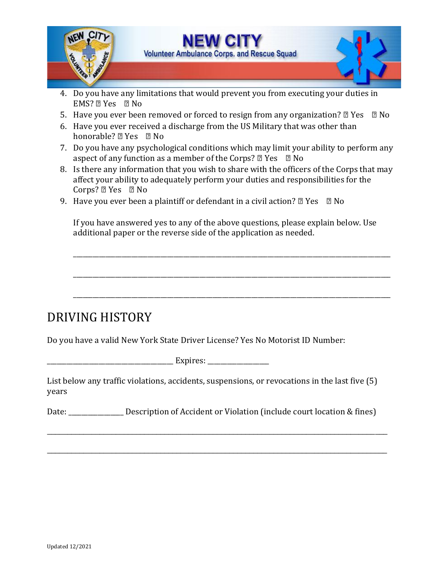

- 4. Do you have any limitations that would prevent you from executing your duties in EMS? ▢ Yes ▢ No
- 5. Have you ever been removed or forced to resign from any organization?  $\mathbb{Z}$  Yes  $\mathbb{Z}$  No
- 6. Have you ever received a discharge from the US Military that was other than honorable? ? Yes ? No
- 7. Do you have any psychological conditions which may limit your ability to perform any aspect of any function as a member of the Corps?  $\mathbb{Z}$  Yes  $\mathbb{Z}$  No
- 8. Is there any information that you wish to share with the officers of the Corps that may affect your ability to adequately perform your duties and responsibilities for the Corps? ▢ Yes ▢ No
- 9. Have you ever been a plaintiff or defendant in a civil action?  $\mathbb{Z}$  Yes  $\mathbb{Z}$  No

If you have answered yes to any of the above questions, please explain below. Use additional paper or the reverse side of the application as needed.

\_\_\_\_\_\_\_\_\_\_\_\_\_\_\_\_\_\_\_\_\_\_\_\_\_\_\_\_\_\_\_\_\_\_\_\_\_\_\_\_\_\_\_\_\_\_\_\_\_\_\_\_\_\_\_\_\_\_\_\_\_\_\_\_\_\_\_\_\_\_\_\_\_\_\_\_\_\_\_\_\_\_\_\_\_\_\_\_\_\_\_\_\_\_\_\_\_\_

\_\_\_\_\_\_\_\_\_\_\_\_\_\_\_\_\_\_\_\_\_\_\_\_\_\_\_\_\_\_\_\_\_\_\_\_\_\_\_\_\_\_\_\_\_\_\_\_\_\_\_\_\_\_\_\_\_\_\_\_\_\_\_\_\_\_\_\_\_\_\_\_\_\_\_\_\_\_\_\_\_\_\_\_\_\_\_\_\_\_\_\_\_\_\_\_\_\_

\_\_\_\_\_\_\_\_\_\_\_\_\_\_\_\_\_\_\_\_\_\_\_\_\_\_\_\_\_\_\_\_\_\_\_\_\_\_\_\_\_\_\_\_\_\_\_\_\_\_\_\_\_\_\_\_\_\_\_\_\_\_\_\_\_\_\_\_\_\_\_\_\_\_\_\_\_\_\_\_\_\_\_\_\_\_\_\_\_\_\_\_\_\_\_\_\_\_

## DRIVING HISTORY

Do you have a valid New York State Driver License? Yes No Motorist ID Number:

 $Expires:$ 

List below any traffic violations, accidents, suspensions, or revocations in the last five (5) years

Date: \_\_\_\_\_\_\_\_\_\_\_\_\_\_\_\_\_\_ Description of Accident or Violation (include court location & fines)

\_\_\_\_\_\_\_\_\_\_\_\_\_\_\_\_\_\_\_\_\_\_\_\_\_\_\_\_\_\_\_\_\_\_\_\_\_\_\_\_\_\_\_\_\_\_\_\_\_\_\_\_\_\_\_\_\_\_\_\_\_\_\_\_\_\_\_\_\_\_\_\_\_\_\_\_\_\_\_\_\_\_\_\_

\_\_\_\_\_\_\_\_\_\_\_\_\_\_\_\_\_\_\_\_\_\_\_\_\_\_\_\_\_\_\_\_\_\_\_\_\_\_\_\_\_\_\_\_\_\_\_\_\_\_\_\_\_\_\_\_\_\_\_\_\_\_\_\_\_\_\_\_\_\_\_\_\_\_\_\_\_\_\_\_\_\_\_\_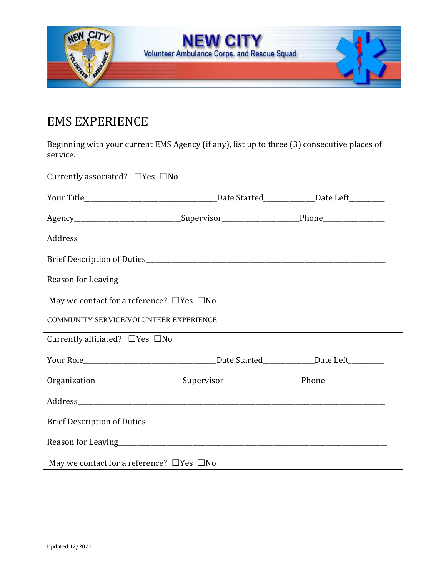

## EMS EXPERIENCE

Beginning with your current EMS Agency (if any), list up to three (3) consecutive places of service.

| Currently associated? $\Box$ Yes $\Box$ No                                                                            |  |  |  |  |
|-----------------------------------------------------------------------------------------------------------------------|--|--|--|--|
|                                                                                                                       |  |  |  |  |
| Agency________________________________Supervisor________________________Phone______________________                   |  |  |  |  |
|                                                                                                                       |  |  |  |  |
|                                                                                                                       |  |  |  |  |
|                                                                                                                       |  |  |  |  |
| May we contact for a reference? $\Box$ Yes $\Box$ No                                                                  |  |  |  |  |
| <b>COMMUNITY SERVICE/VOLUNTEER EXPERIENCE</b>                                                                         |  |  |  |  |
| Currently affiliated? $\Box$ Yes $\Box$ No                                                                            |  |  |  |  |
| Your Role <b>No. 2018</b> Date Started <b>Date Started</b> Date Left <b>Date Left</b>                                 |  |  |  |  |
| Organization___________________________Supervisor_______________________________Phone______________                   |  |  |  |  |
|                                                                                                                       |  |  |  |  |
| Brief Description of Duties <b>Exercise 2018</b> Prior and 2019 Prior and 2019 Prior 2019 Prior 2019 Prior 2019 Prior |  |  |  |  |
|                                                                                                                       |  |  |  |  |
| May we contact for a reference? $\Box$ Yes $\Box$ No                                                                  |  |  |  |  |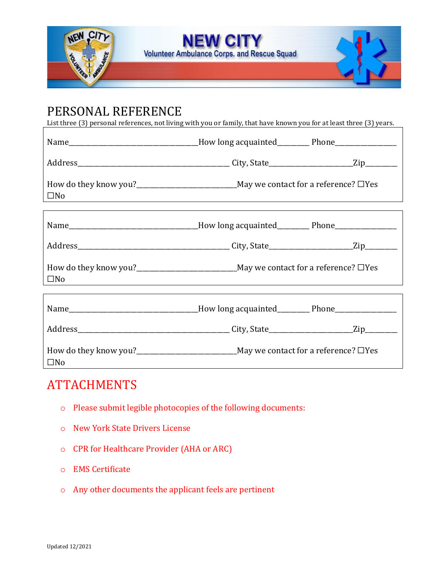

#### PERSONAL REFERENCE

List three (3) personal references, not living with you or family, that have known you for at least three (3) years.

| Name__________________________________How long acquainted__________Phone_______________              |                                                                                   |  |  |
|------------------------------------------------------------------------------------------------------|-----------------------------------------------------------------------------------|--|--|
|                                                                                                      |                                                                                   |  |  |
| $\square$ No                                                                                         | ,我们也不会有什么。""我们的人,我们也不会有什么?""我们的人,我们也不会有什么?""我们的人,我们也不会有什么?""我们的人,我们也不会有什么?""我们的人  |  |  |
|                                                                                                      |                                                                                   |  |  |
|                                                                                                      |                                                                                   |  |  |
| $\square$ No                                                                                         | ,我们也不会有什么。""我们的人,我们也不会有什么?""我们的人,我们也不会有什么?""我们的人,我们也不会有什么?""我们的人,我们也不会有什么?""我们的人  |  |  |
| Name___________________________________How long acquainted____________Phone_________________________ |                                                                                   |  |  |
|                                                                                                      |                                                                                   |  |  |
| $\square$ No                                                                                         | How do they know you?<br><u> Lettian and May we contact for a reference?</u> □Yes |  |  |

#### ATTACHMENTS

- o Please submit legible photocopies of the following documents:
- o New York State Drivers License
- o CPR for Healthcare Provider (AHA or ARC)
- o EMS Certificate
- o Any other documents the applicant feels are pertinent